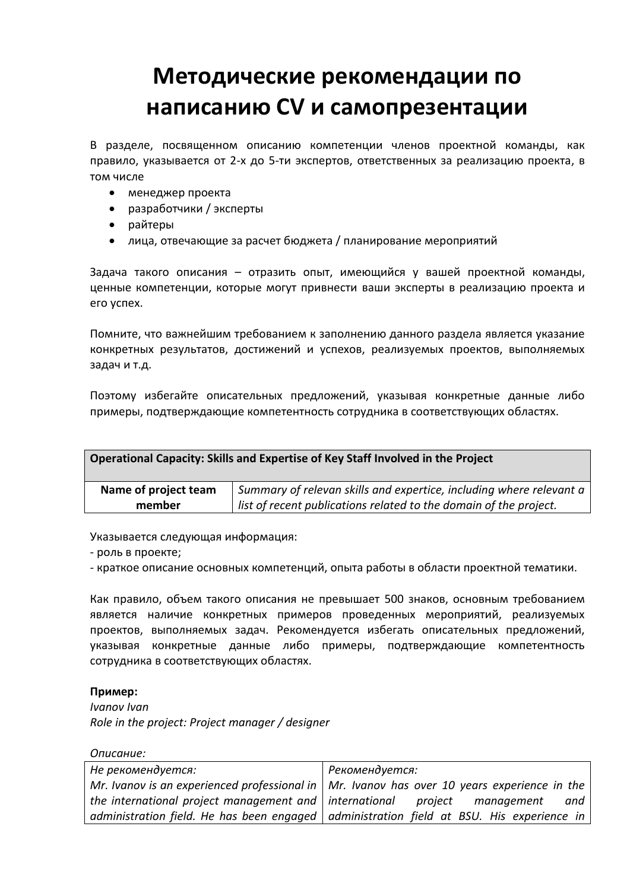## **Методические рекомендации по написанию CV и самопрезентации**

В разделе, посвященном описанию компетенции членов проектной команды, как правило, указывается от 2-х до 5-ти экспертов, ответственных за реализацию проекта, в том числе

- менеджер проекта
- разработчики / эксперты
- райтеры
- лица, отвечающие за расчет бюджета / планирование мероприятий

Задача такого описания – отразить опыт, имеющийся у вашей проектной команды, ценные компетенции, которые могут привнести ваши эксперты в реализацию проекта и его успех.

Помните, что важнейшим требованием к заполнению данного раздела является указание конкретных результатов, достижений и успехов, реализуемых проектов, выполняемых задач и т.д.

Поэтому избегайте описательных предложений, указывая конкретные данные либо примеры, подтверждающие компетентность сотрудника в соответствующих областях.

| Operational Capacity: Skills and Expertise of Key Staff Involved in the Project |                                                                     |
|---------------------------------------------------------------------------------|---------------------------------------------------------------------|
| Name of project team                                                            | Summary of relevan skills and expertice, including where relevant a |
| member                                                                          | list of recent publications related to the domain of the project.   |

Указывается следующая информация:

- роль в проекте;

- краткое описание основных компетенций, опыта работы в области проектной тематики.

Как правило, объем такого описания не превышает 500 знаков, основным требованием является наличие конкретных примеров проведенных мероприятий, реализуемых проектов, выполняемых задач. Рекомендуется избегать описательных предложений, указывая конкретные данные либо примеры, подтверждающие компетентность сотрудника в соответствующих областях.

## **Пример:**

*Ivanov Ivan Role in the project: Project manager / designer*

*Описание:*

| Не рекомендуется:                                        | Рекомендуется:                                                                                      |
|----------------------------------------------------------|-----------------------------------------------------------------------------------------------------|
|                                                          | Mr. Ivanov is an experienced professional in $\vert$ Mr. Ivanov has over 10 years experience in the |
| the international project management and   international | project management<br>and                                                                           |
|                                                          | administration field. He has been engaged   administration field at BSU. His experience in          |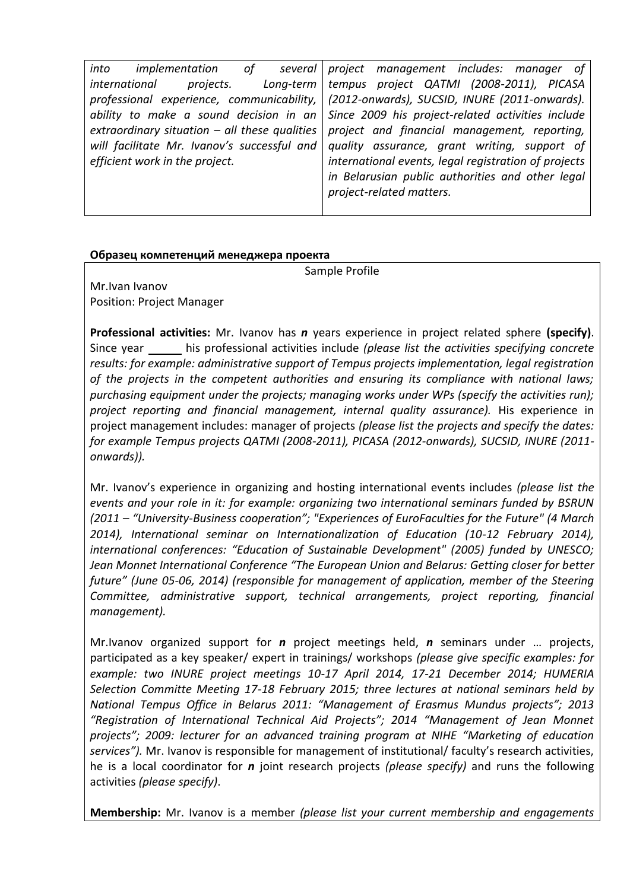| into<br>implementation<br>of __<br>several      | project management includes: manager of                                                   |
|-------------------------------------------------|-------------------------------------------------------------------------------------------|
| projects.<br>international<br>$Long-term$       | tempus project QATMI (2008-2011), PICASA                                                  |
|                                                 | professional experience, communicability,   (2012-onwards), SUCSID, INURE (2011-onwards). |
| ability to make a sound decision in an          | Since 2009 his project-related activities include                                         |
| extraordinary situation $-$ all these qualities | project and financial management, reporting,                                              |
| will facilitate Mr. Ivanov's successful and     | quality assurance, grant writing, support of                                              |
| efficient work in the project.                  | international events, legal registration of projects                                      |
|                                                 | in Belarusian public authorities and other legal                                          |
|                                                 | project-related matters.                                                                  |
|                                                 |                                                                                           |

## **Образец компетенций менеджера проекта**

Sample Profile

Mr.Ivan Ivanov Position: Project Manager

**Professional activities:** Mr. Ivanov has *n* years experience in project related sphere **(specify)**. Since year \_\_\_\_\_ his professional activities include *(please list the activities specifying concrete results: for example: administrative support of Tempus projects implementation, legal registration of the projects in the competent authorities and ensuring its compliance with national laws; purchasing equipment under the projects; managing works under WPs (specify the activities run); project reporting and financial management, internal quality assurance).* His experience in project management includes: manager of projects *(please list the projects and specify the dates: for example Tempus projects QATMI (2008-2011), PICASA (2012-onwards), SUCSID, INURE (2011 onwards)).*

Mr. Ivanov's experience in organizing and hosting international events includes *(please list the events and your role in it: for example: organizing two international seminars funded by BSRUN (2011 – "University-Business cooperation"; "Experiences of EuroFaculties for the Future" (4 March 2014), International seminar on Internationalization of Education (10-12 February 2014), international conferences: "Education of Sustainable Development" (2005) funded by UNESCO; Jean Monnet International Conference "The European Union and Belarus: Getting closer for better future" (June 05-06, 2014) (responsible for management of application, member of the Steering Committee, administrative support, technical arrangements, project reporting, financial management).*

Mr.Ivanov organized support for *n* project meetings held, *n* seminars under … projects, participated as a key speaker/ expert in trainings/ workshops *(please give specific examples: for example: two INURE project meetings 10-17 April 2014, 17-21 December 2014; HUMERIA Selection Committe Meeting 17-18 February 2015; three lectures at national seminars held by National Tempus Office in Belarus 2011: "Management of Erasmus Mundus projects"; 2013 "Registration of International Technical Aid Projects"; 2014 "Management of Jean Monnet projects"; 2009: lecturer for an advanced training program at NIHE "Marketing of education services").* Mr. Ivanov is responsible for management of institutional/ faculty's research activities, he is a local coordinator for *n* joint research projects *(please specify)* and runs the following activities *(please specify)*.

**Membership:** Mr. Ivanov is a member *(please list your current membership and engagements*